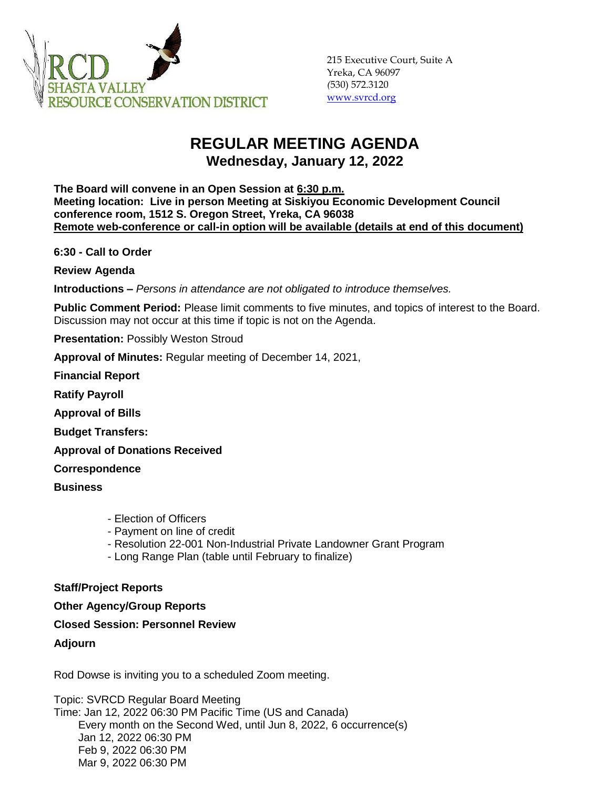

## **REGULAR MEETING AGENDA Wednesday, January 12, 2022**

**The Board will convene in an Open Session at 6:30 p.m. Meeting location: Live in person Meeting at Siskiyou Economic Development Council conference room, 1512 S. Oregon Street, Yreka, CA 96038 Remote web-conference or call-in option will be available (details at end of this document)**

**6:30 - Call to Order** 

**Review Agenda**

**Introductions –** *Persons in attendance are not obligated to introduce themselves.*

**Public Comment Period:** Please limit comments to five minutes, and topics of interest to the Board. Discussion may not occur at this time if topic is not on the Agenda.

**Presentation: Possibly Weston Stroud** 

**Approval of Minutes:** Regular meeting of December 14, 2021,

**Financial Report**

**Ratify Payroll**

**Approval of Bills**

**Budget Transfers:**

**Approval of Donations Received**

**Correspondence**

**Business**

- Election of Officers
- Payment on line of credit
- Resolution 22-001 Non-Industrial Private Landowner Grant Program
- Long Range Plan (table until February to finalize)

## **Staff/Project Reports**

**Other Agency/Group Reports**

## **Closed Session: Personnel Review**

**Adjourn**

Rod Dowse is inviting you to a scheduled Zoom meeting.

Topic: SVRCD Regular Board Meeting Time: Jan 12, 2022 06:30 PM Pacific Time (US and Canada) Every month on the Second Wed, until Jun 8, 2022, 6 occurrence(s) Jan 12, 2022 06:30 PM Feb 9, 2022 06:30 PM Mar 9, 2022 06:30 PM